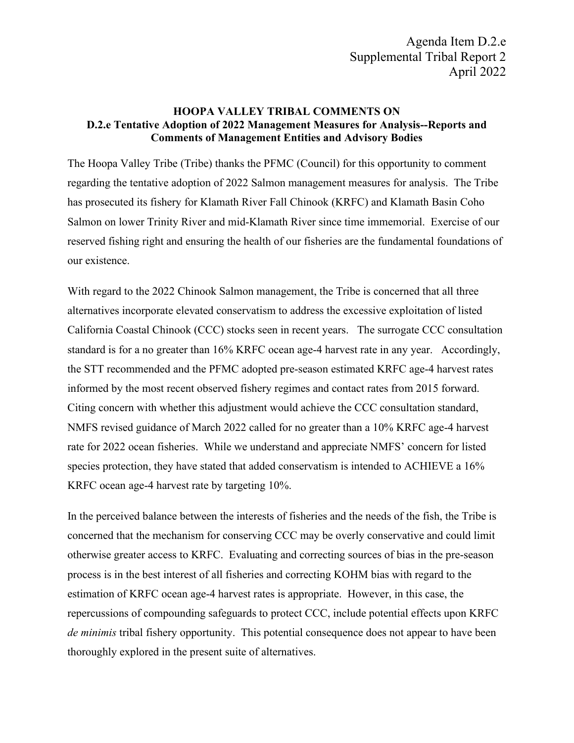## **HOOPA VALLEY TRIBAL COMMENTS ON D.2.e Tentative Adoption of 2022 Management Measures for Analysis--Reports and Comments of Management Entities and Advisory Bodies**

The Hoopa Valley Tribe (Tribe) thanks the PFMC (Council) for this opportunity to comment regarding the tentative adoption of 2022 Salmon management measures for analysis. The Tribe has prosecuted its fishery for Klamath River Fall Chinook (KRFC) and Klamath Basin Coho Salmon on lower Trinity River and mid-Klamath River since time immemorial. Exercise of our reserved fishing right and ensuring the health of our fisheries are the fundamental foundations of our existence.

With regard to the 2022 Chinook Salmon management, the Tribe is concerned that all three alternatives incorporate elevated conservatism to address the excessive exploitation of listed California Coastal Chinook (CCC) stocks seen in recent years. The surrogate CCC consultation standard is for a no greater than 16% KRFC ocean age-4 harvest rate in any year. Accordingly, the STT recommended and the PFMC adopted pre-season estimated KRFC age-4 harvest rates informed by the most recent observed fishery regimes and contact rates from 2015 forward. Citing concern with whether this adjustment would achieve the CCC consultation standard, NMFS revised guidance of March 2022 called for no greater than a 10% KRFC age-4 harvest rate for 2022 ocean fisheries. While we understand and appreciate NMFS' concern for listed species protection, they have stated that added conservatism is intended to ACHIEVE a 16% KRFC ocean age-4 harvest rate by targeting 10%.

In the perceived balance between the interests of fisheries and the needs of the fish, the Tribe is concerned that the mechanism for conserving CCC may be overly conservative and could limit otherwise greater access to KRFC. Evaluating and correcting sources of bias in the pre-season process is in the best interest of all fisheries and correcting KOHM bias with regard to the estimation of KRFC ocean age-4 harvest rates is appropriate. However, in this case, the repercussions of compounding safeguards to protect CCC, include potential effects upon KRFC *de minimis* tribal fishery opportunity. This potential consequence does not appear to have been thoroughly explored in the present suite of alternatives.